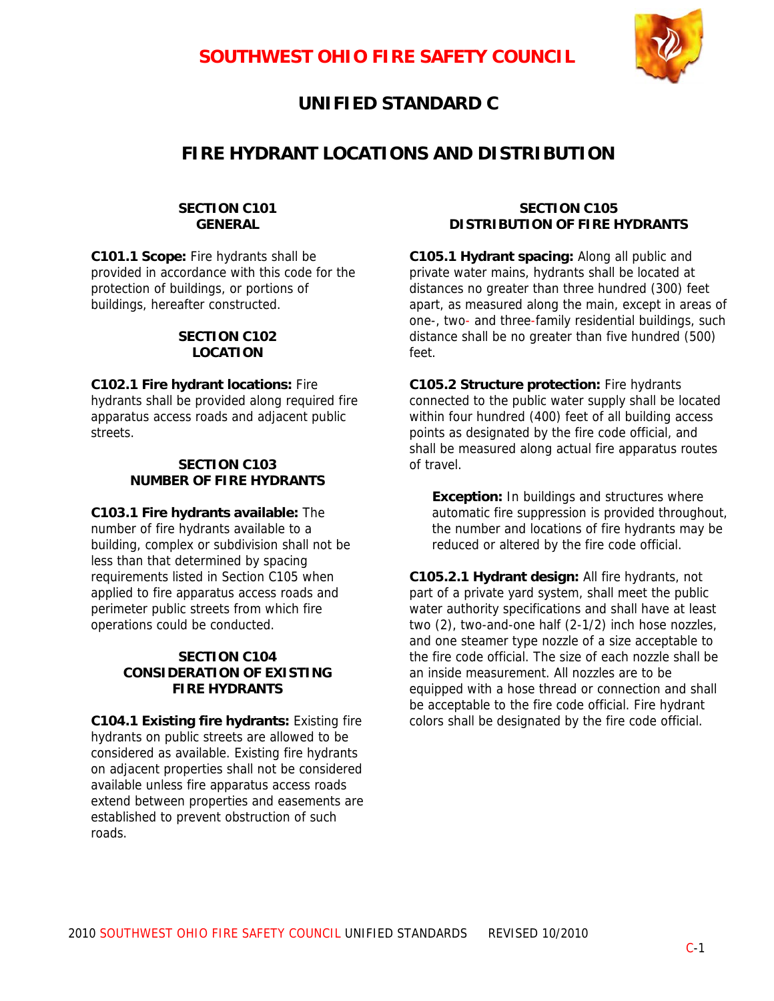

# **UNIFIED STANDARD C**

## **FIRE HYDRANT LOCATIONS AND DISTRIBUTION**

#### **SECTION C101 GENERAL**

**C101.1 Scope:** Fire hydrants shall be provided in accordance with this code for the protection of buildings, or portions of buildings, hereafter constructed.

### **SECTION C102 LOCATION**

**C102.1 Fire hydrant locations:** Fire hydrants shall be provided along required fire apparatus access roads and adjacent public streets.

### **SECTION C103 NUMBER OF FIRE HYDRANTS**

**C103.1 Fire hydrants available:** The number of fire hydrants available to a building, complex or subdivision shall not be less than that determined by spacing requirements listed in Section C105 when applied to fire apparatus access roads and perimeter public streets from which fire operations could be conducted.

### **SECTION C104 CONSIDERATION OF EXISTING FIRE HYDRANTS**

**C104.1 Existing fire hydrants:** Existing fire hydrants on public streets are allowed to be considered as available. Existing fire hydrants on adjacent properties shall not be considered available unless fire apparatus access roads extend between properties and easements are established to prevent obstruction of such roads.

#### **SECTION C105 DISTRIBUTION OF FIRE HYDRANTS**

**C105.1 Hydrant spacing:** Along all public and private water mains, hydrants shall be located at distances no greater than three hundred (300) feet apart, as measured along the main, except in areas of one-, two- and three-family residential buildings, such distance shall be no greater than five hundred (500) feet.

**C105.2 Structure protection:** Fire hydrants connected to the public water supply shall be located within four hundred (400) feet of all building access points as designated by the fire code official, and shall be measured along actual fire apparatus routes of travel.

**Exception:** In buildings and structures where automatic fire suppression is provided throughout, the number and locations of fire hydrants may be reduced or altered by the fire code official.

**C105.2.1 Hydrant design:** All fire hydrants, not part of a private yard system, shall meet the public water authority specifications and shall have at least two (2), two-and-one half (2-1/2) inch hose nozzles, and one steamer type nozzle of a size acceptable to the fire code official. The size of each nozzle shall be an inside measurement. All nozzles are to be equipped with a hose thread or connection and shall be acceptable to the fire code official. Fire hydrant colors shall be designated by the fire code official.